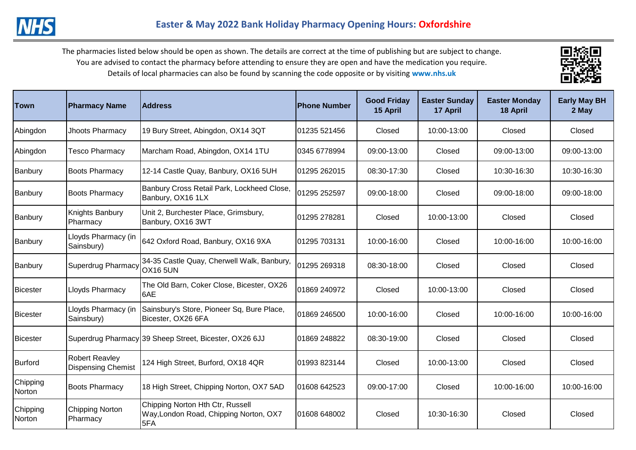The pharmacies listed below should be open as shown. The details are correct at the time of publishing but are subject to change. You are advised to contact the pharmacy before attending to ensure they are open and have the medication you require. Details of local pharmacies can also be found by scanning the code opposite or by visiting **www.nhs.uk** 



| Town               | <b>Pharmacy Name</b>                               | <b>Address</b>                                                                    | <b>Phone Number</b> | <b>Good Friday</b><br>15 April | <b>Easter Sunday</b><br>17 April | <b>Easter Monday</b><br>18 April | <b>Early May BH</b><br>2 May |
|--------------------|----------------------------------------------------|-----------------------------------------------------------------------------------|---------------------|--------------------------------|----------------------------------|----------------------------------|------------------------------|
| Abingdon           | Jhoots Pharmacy                                    | 19 Bury Street, Abingdon, OX14 3QT                                                | 01235 521456        | Closed                         | 10:00-13:00                      | Closed                           | Closed                       |
| Abingdon           | <b>Tesco Pharmacy</b>                              | Marcham Road, Abingdon, OX14 1TU                                                  | 0345 6778994        | 09:00-13:00                    | Closed                           | 09:00-13:00                      | 09:00-13:00                  |
| Banbury            | <b>Boots Pharmacy</b>                              | 12-14 Castle Quay, Banbury, OX16 5UH                                              | 01295 262015        | 08:30-17:30                    | Closed                           | 10:30-16:30                      | 10:30-16:30                  |
| Banbury            | <b>Boots Pharmacy</b>                              | Banbury Cross Retail Park, Lockheed Close,<br>Banbury, OX16 1LX                   | 01295 252597        | 09:00-18:00                    | Closed                           | 09:00-18:00                      | 09:00-18:00                  |
| Banbury            | Knights Banbury<br>Pharmacy                        | Unit 2, Burchester Place, Grimsbury,<br>Banbury, OX16 3WT                         | 01295 278281        | Closed                         | 10:00-13:00                      | Closed                           | Closed                       |
| Banbury            | Lloyds Pharmacy (in<br>Sainsbury)                  | 642 Oxford Road, Banbury, OX16 9XA                                                | 01295 703131        | 10:00-16:00                    | Closed                           | 10:00-16:00                      | 10:00-16:00                  |
| Banbury            | Superdrug Pharmacy                                 | 34-35 Castle Quay, Cherwell Walk, Banbury,<br><b>OX16 5UN</b>                     | 01295 269318        | 08:30-18:00                    | Closed                           | Closed                           | Closed                       |
| <b>IBicester</b>   | Lloyds Pharmacy                                    | The Old Barn, Coker Close, Bicester, OX26<br>6AE                                  | 01869 240972        | Closed                         | 10:00-13:00                      | Closed                           | Closed                       |
| <b>Bicester</b>    | Lloyds Pharmacy (in<br>Sainsbury)                  | Sainsbury's Store, Pioneer Sq, Bure Place,<br>Bicester, OX26 6FA                  | 01869 246500        | 10:00-16:00                    | Closed                           | 10:00-16:00                      | 10:00-16:00                  |
| Bicester           |                                                    | Superdrug Pharmacy 39 Sheep Street, Bicester, OX26 6JJ                            | 01869 248822        | 08:30-19:00                    | Closed                           | Closed                           | Closed                       |
| Burford            | <b>Robert Reavley</b><br><b>Dispensing Chemist</b> | 124 High Street, Burford, OX18 4QR                                                | 01993 823144        | Closed                         | 10:00-13:00                      | Closed                           | Closed                       |
| Chipping<br>Norton | <b>Boots Pharmacy</b>                              | 18 High Street, Chipping Norton, OX7 5AD                                          | 01608 642523        | 09:00-17:00                    | Closed                           | 10:00-16:00                      | 10:00-16:00                  |
| Chipping<br>Norton | <b>Chipping Norton</b><br>Pharmacy                 | Chipping Norton Hth Ctr, Russell<br>Way, London Road, Chipping Norton, OX7<br>5FA | 01608 648002        | Closed                         | 10:30-16:30                      | Closed                           | Closed                       |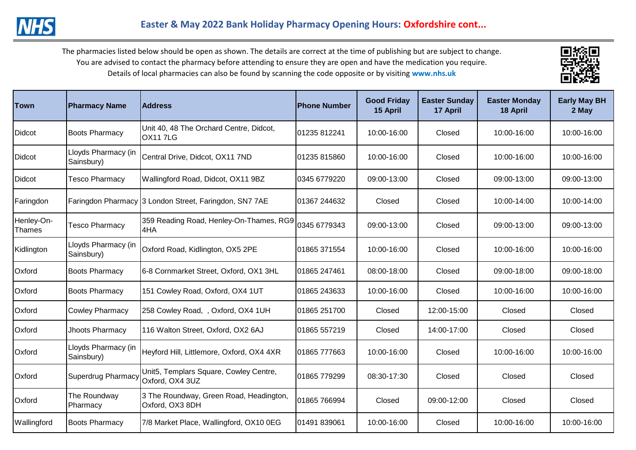The pharmacies listed below should be open as shown. The details are correct at the time of publishing but are subject to change. You are advised to contact the pharmacy before attending to ensure they are open and have the medication you require. Details of local pharmacies can also be found by scanning the code opposite or by visiting **www.nhs.uk** 



| <b>Town</b>                 | <b>Pharmacy Name</b>               | <b>IAddress</b>                                            | <b>Phone Number</b> | <b>Good Friday</b><br>15 April | <b>Easter Sunday</b><br>17 April | <b>Easter Monday</b><br>18 April | <b>Early May BH</b><br>2 May |
|-----------------------------|------------------------------------|------------------------------------------------------------|---------------------|--------------------------------|----------------------------------|----------------------------------|------------------------------|
| Didcot                      | <b>Boots Pharmacy</b>              | Unit 40, 48 The Orchard Centre, Didcot,<br>OX117LG         | 01235 812241        | 10:00-16:00                    | Closed                           | 10:00-16:00                      | 10:00-16:00                  |
| Didcot                      | Lloyds Pharmacy (in<br>Sainsbury)  | Central Drive, Didcot, OX11 7ND                            | 01235 815860        | 10:00-16:00                    | Closed                           | 10:00-16:00                      | 10:00-16:00                  |
| Didcot                      | <b>Tesco Pharmacy</b>              | Wallingford Road, Didcot, OX11 9BZ                         | 0345 6779220        | 09:00-13:00                    | Closed                           | 09:00-13:00                      | 09:00-13:00                  |
| Faringdon                   |                                    | Faringdon Pharmacy 3 London Street, Faringdon, SN7 7AE     | 01367 244632        | Closed                         | Closed                           | 10:00-14:00                      | 10:00-14:00                  |
| Henley-On-<br><b>Thames</b> | <b>Tesco Pharmacy</b>              | 359 Reading Road, Henley-On-Thames, RG9<br>4HA             | 0345 6779343        | 09:00-13:00                    | Closed                           | 09:00-13:00                      | 09:00-13:00                  |
| Kidlington                  | Lloyds Pharmacy (in<br>Sainsbury)  | Oxford Road, Kidlington, OX5 2PE                           | 01865 371554        | 10:00-16:00                    | Closed                           | 10:00-16:00                      | 10:00-16:00                  |
| Oxford                      | <b>Boots Pharmacy</b>              | 6-8 Cornmarket Street, Oxford, OX1 3HL                     | 01865 247461        | 08:00-18:00                    | Closed                           | 09:00-18:00                      | 09:00-18:00                  |
| Oxford                      | <b>Boots Pharmacy</b>              | 151 Cowley Road, Oxford, OX4 1UT                           | 01865 243633        | 10:00-16:00                    | Closed                           | 10:00-16:00                      | 10:00-16:00                  |
| Oxford                      | <b>Cowley Pharmacy</b>             | 258 Cowley Road, , Oxford, OX4 1UH                         | 01865 251700        | Closed                         | 12:00-15:00                      | Closed                           | Closed                       |
| Oxford                      | Jhoots Pharmacy                    | 116 Walton Street, Oxford, OX2 6AJ                         | 01865 557219        | Closed                         | 14:00-17:00                      | Closed                           | Closed                       |
| Oxford                      | Lloyds Pharmacy (in<br>Sainsbury)  | Heyford Hill, Littlemore, Oxford, OX4 4XR                  | 01865 777663        | 10:00-16:00                    | Closed                           | 10:00-16:00                      | 10:00-16:00                  |
| Oxford                      | Superdrug Pharmacy Oxford, OX4 3UZ | Unit5, Templars Square, Cowley Centre,                     | 01865 779299        | 08:30-17:30                    | Closed                           | Closed                           | Closed                       |
| Oxford                      | The Roundway<br>Pharmacy           | 3 The Roundway, Green Road, Headington,<br>Oxford, OX3 8DH | 01865 766994        | Closed                         | 09:00-12:00                      | Closed                           | Closed                       |
| Wallingford                 | <b>Boots Pharmacy</b>              | 7/8 Market Place, Wallingford, OX10 0EG                    | 01491 839061        | 10:00-16:00                    | Closed                           | 10:00-16:00                      | 10:00-16:00                  |